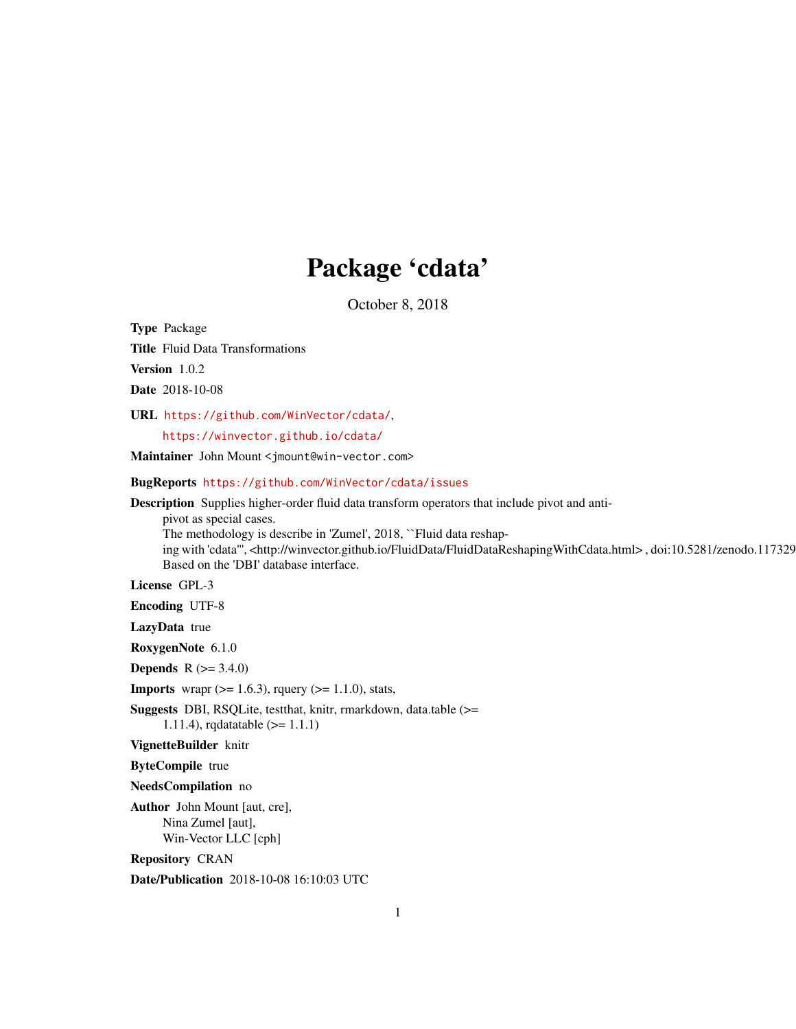## Package 'cdata'

October 8, 2018

Type Package

Title Fluid Data Transformations

Version 1.0.2

Date 2018-10-08

URL <https://github.com/WinVector/cdata/>,

<https://winvector.github.io/cdata/>

Maintainer John Mount <jmount@win-vector.com>

BugReports <https://github.com/WinVector/cdata/issues>

Description Supplies higher-order fluid data transform operators that include pivot and anti-

pivot as special cases.

The methodology is describe in 'Zumel', 2018, ``Fluid data reshap-

ing with 'cdata'", <http://winvector.github.io/FluidData/FluidDataReshapingWithCdata.html>, doi:10.5281/zenodo.117329 Based on the 'DBI' database interface.

License GPL-3

Encoding UTF-8

LazyData true

RoxygenNote 6.1.0

**Depends** R  $(>= 3.4.0)$ 

**Imports** wrapr ( $>= 1.6.3$ ), rquery ( $>= 1.1.0$ ), stats,

Suggests DBI, RSQLite, testthat, knitr, rmarkdown, data.table (>= 1.11.4), rqdatatable (>= 1.1.1)

VignetteBuilder knitr

ByteCompile true

NeedsCompilation no

Author John Mount [aut, cre], Nina Zumel [aut], Win-Vector LLC [cph]

Repository CRAN

Date/Publication 2018-10-08 16:10:03 UTC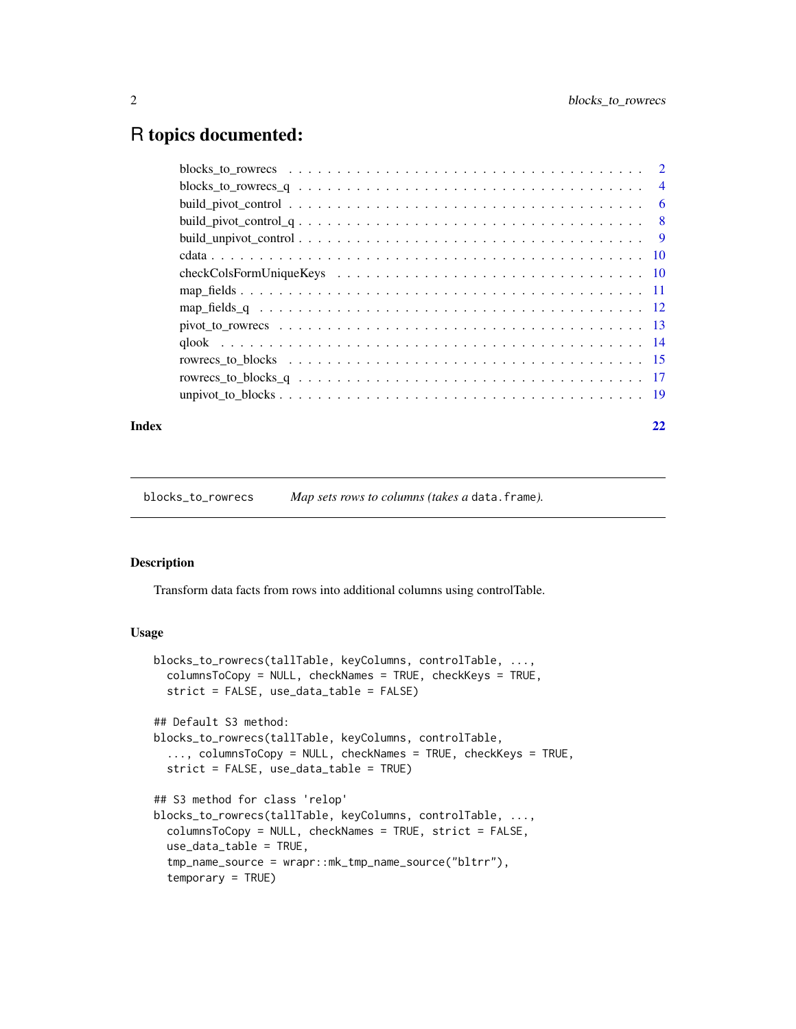## <span id="page-1-0"></span>R topics documented:

## **Index** [22](#page-21-0)

<span id="page-1-1"></span>blocks\_to\_rowrecs *Map sets rows to columns (takes a* data.frame*).*

#### Description

Transform data facts from rows into additional columns using controlTable.

```
blocks_to_rowrecs(tallTable, keyColumns, controlTable, ...,
  columnsToCopy = NULL, checkNames = TRUE, checkKeys = TRUE,
  strict = FALSE, use_data_table = FALSE)
## Default S3 method:
blocks_to_rowrecs(tallTable, keyColumns, controlTable,
  ..., columnsToCopy = NULL, checkNames = TRUE, checkKeys = TRUE,
  strict = FALSE, use_data_table = TRUE)
## S3 method for class 'relop'
blocks_to_rowrecs(tallTable, keyColumns, controlTable, ...,
  columnsToCopy = NULL, checkNames = TRUE, strict = FALSE,
  use_data_table = TRUE,tmp_name_source = wrapr::mk_tmp_name_source("bltrr"),
  temporary = TRUE)
```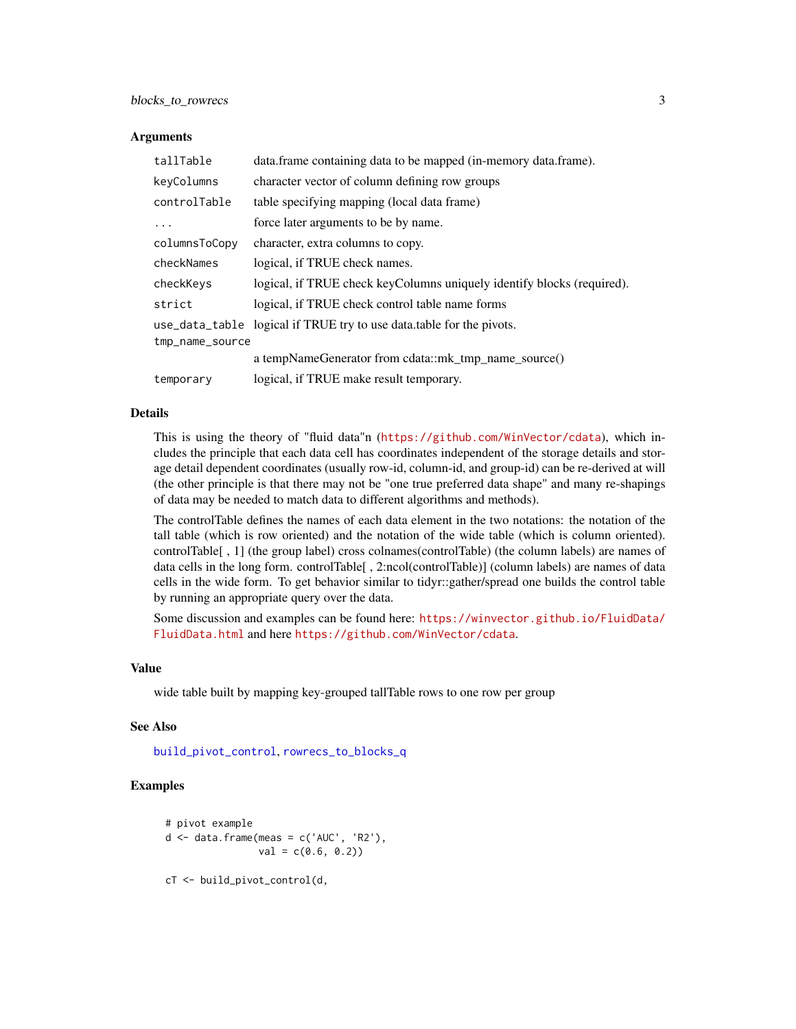<span id="page-2-0"></span>

| tallTable       | data.frame containing data to be mapped (in-memory data.frame).        |  |
|-----------------|------------------------------------------------------------------------|--|
| keyColumns      | character vector of column defining row groups                         |  |
| controlTable    | table specifying mapping (local data frame)                            |  |
| $\ddotsc$       | force later arguments to be by name.                                   |  |
| columnsToCopy   | character, extra columns to copy.                                      |  |
| checkNames      | logical, if TRUE check names.                                          |  |
| checkKeys       | logical, if TRUE check keyColumns uniquely identify blocks (required). |  |
| strict          | logical, if TRUE check control table name forms                        |  |
|                 | use_data_table logical if TRUE try to use data.table for the pivots.   |  |
| tmp_name_source |                                                                        |  |
|                 | a tempNameGenerator from cdata::mk_tmp_name_source()                   |  |
| temporary       | logical, if TRUE make result temporary.                                |  |

#### Details

This is using the theory of "fluid data"n (<https://github.com/WinVector/cdata>), which includes the principle that each data cell has coordinates independent of the storage details and storage detail dependent coordinates (usually row-id, column-id, and group-id) can be re-derived at will (the other principle is that there may not be "one true preferred data shape" and many re-shapings of data may be needed to match data to different algorithms and methods).

The controlTable defines the names of each data element in the two notations: the notation of the tall table (which is row oriented) and the notation of the wide table (which is column oriented). controlTable[ , 1] (the group label) cross colnames(controlTable) (the column labels) are names of data cells in the long form. controlTable[ , 2:ncol(controlTable)] (column labels) are names of data cells in the wide form. To get behavior similar to tidyr::gather/spread one builds the control table by running an appropriate query over the data.

Some discussion and examples can be found here: [https://winvector.github.io/FluidData/](https://winvector.github.io/FluidData/FluidData.html) [FluidData.html](https://winvector.github.io/FluidData/FluidData.html) and here <https://github.com/WinVector/cdata>.

#### Value

wide table built by mapping key-grouped tallTable rows to one row per group

#### See Also

[build\\_pivot\\_control](#page-5-1), [rowrecs\\_to\\_blocks\\_q](#page-16-1)

## Examples

```
# pivot example
d \leq - data.frame(meas = c('AUC', 'R2'),val = c(0.6, 0.2)cT <- build_pivot_control(d,
```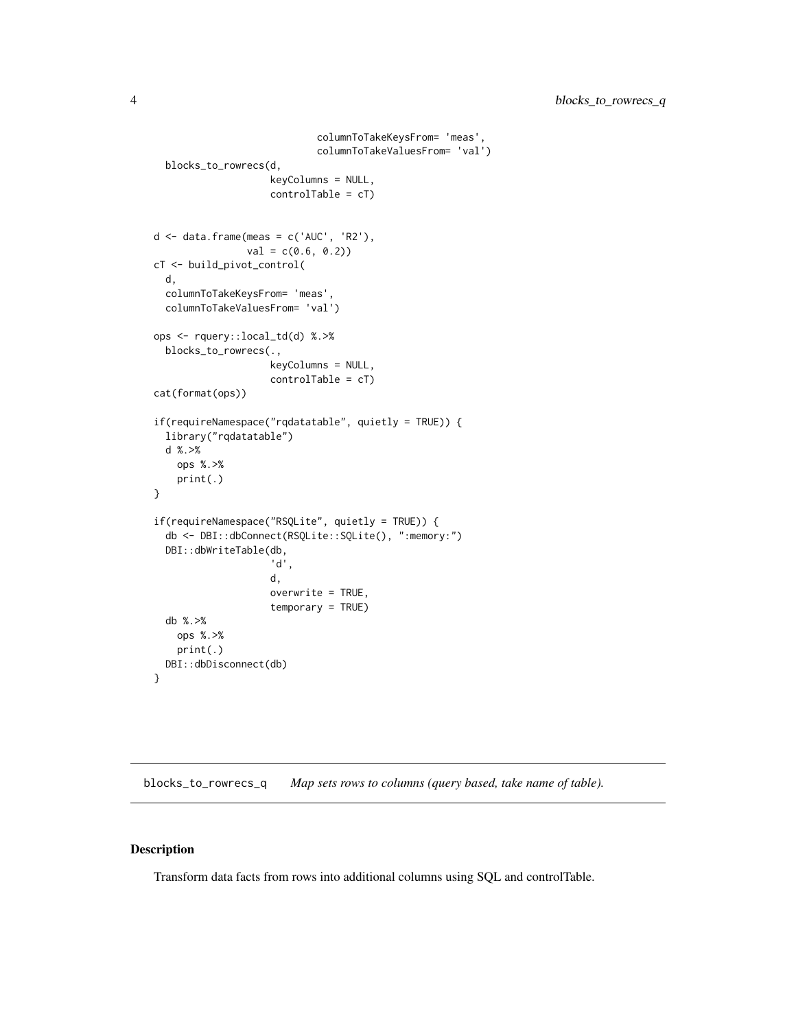```
columnToTakeKeysFrom= 'meas',
                            columnToTakeValuesFrom= 'val')
 blocks_to_rowrecs(d,
                    keyColumns = NULL,
                    controlTable = cT)
d \leq - data.frame(meas = c('AUC', 'R2'),val = c(0.6, 0.2)cT <- build_pivot_control(
 d,
 columnToTakeKeysFrom= 'meas',
 columnToTakeValuesFrom= 'val')
ops <- rquery::local_td(d) %.>%
 blocks_to_rowrecs(.,
                    keyColumns = NULL,
                    controlTable = cT)
cat(format(ops))
if(requireNamespace("rqdatatable", quietly = TRUE)) {
 library("rqdatatable")
 d %.>%
   ops %.>%
   print(.)
}
if(requireNamespace("RSQLite", quietly = TRUE)) {
 db <- DBI::dbConnect(RSQLite::SQLite(), ":memory:")
 DBI::dbWriteTable(db,
                    'd',
                    d,
                    overwrite = TRUE,
                    temporary = TRUE)
 db %.>%
   ops %.>%
   print(.)
 DBI::dbDisconnect(db)
}
```
<span id="page-3-1"></span>blocks\_to\_rowrecs\_q *Map sets rows to columns (query based, take name of table).*

## Description

Transform data facts from rows into additional columns using SQL and controlTable.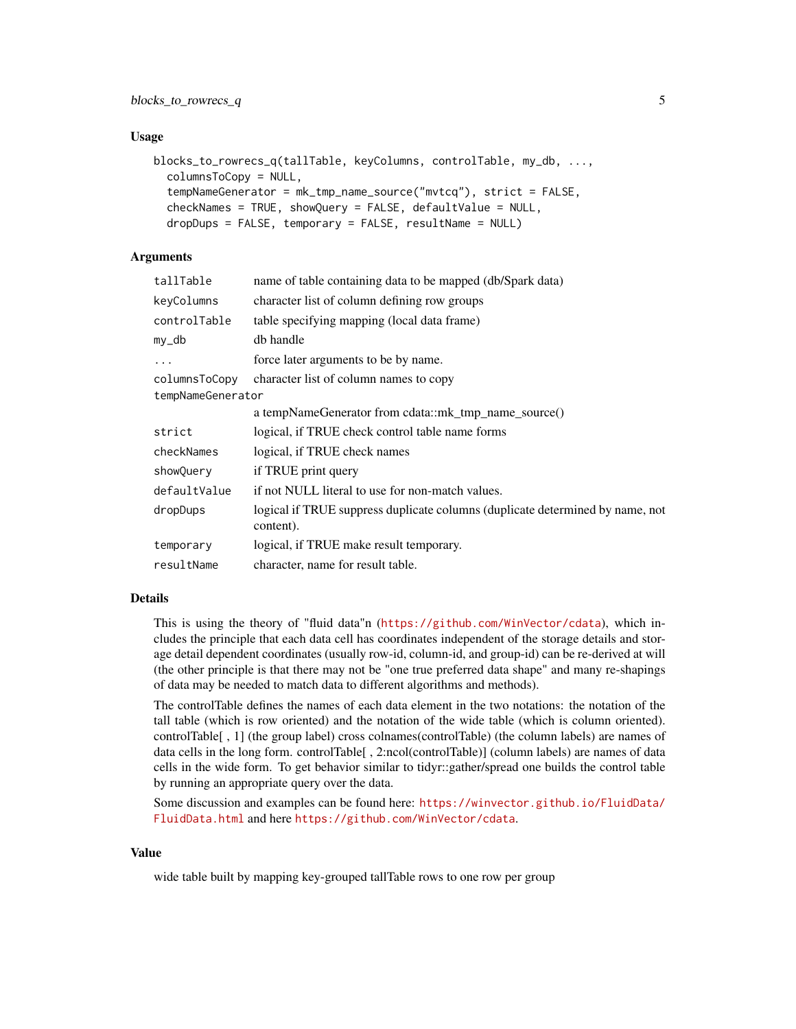#### Usage

```
blocks_to_rowrecs_q(tallTable, keyColumns, controlTable, my_db, ...,
  columnsToCopy = NULL,
  tempNameGenerator = mk_tmp_name_source("mvtcq"), strict = FALSE,
  checkNames = TRUE, showQuery = FALSE, defaultValue = NULL,
  dropDups = FALSE, temporary = FALSE, resultName = NULL)
```
## Arguments

| tallTable         | name of table containing data to be mapped (db/Spark data)                                 |  |
|-------------------|--------------------------------------------------------------------------------------------|--|
| keyColumns        | character list of column defining row groups                                               |  |
| controlTable      | table specifying mapping (local data frame)                                                |  |
| $my_d$            | db handle                                                                                  |  |
| $\ddots$          | force later arguments to be by name.                                                       |  |
| columnsToCopy     | character list of column names to copy                                                     |  |
| tempNameGenerator |                                                                                            |  |
|                   | a tempNameGenerator from cdata::mk_tmp_name_source()                                       |  |
| strict            | logical, if TRUE check control table name forms                                            |  |
| checkNames        | logical, if TRUE check names                                                               |  |
| showQuery         | if TRUE print query                                                                        |  |
| defaultValue      | if not NULL literal to use for non-match values.                                           |  |
| dropDups          | logical if TRUE suppress duplicate columns (duplicate determined by name, not<br>content). |  |
| temporary         | logical, if TRUE make result temporary.                                                    |  |
| resultName        | character, name for result table.                                                          |  |
|                   |                                                                                            |  |

## Details

This is using the theory of "fluid data"n (<https://github.com/WinVector/cdata>), which includes the principle that each data cell has coordinates independent of the storage details and storage detail dependent coordinates (usually row-id, column-id, and group-id) can be re-derived at will (the other principle is that there may not be "one true preferred data shape" and many re-shapings of data may be needed to match data to different algorithms and methods).

The controlTable defines the names of each data element in the two notations: the notation of the tall table (which is row oriented) and the notation of the wide table (which is column oriented). controlTable[ , 1] (the group label) cross colnames(controlTable) (the column labels) are names of data cells in the long form. controlTable[ , 2:ncol(controlTable)] (column labels) are names of data cells in the wide form. To get behavior similar to tidyr::gather/spread one builds the control table by running an appropriate query over the data.

Some discussion and examples can be found here: [https://winvector.github.io/FluidData/](https://winvector.github.io/FluidData/FluidData.html) [FluidData.html](https://winvector.github.io/FluidData/FluidData.html) and here <https://github.com/WinVector/cdata>.

## Value

wide table built by mapping key-grouped tallTable rows to one row per group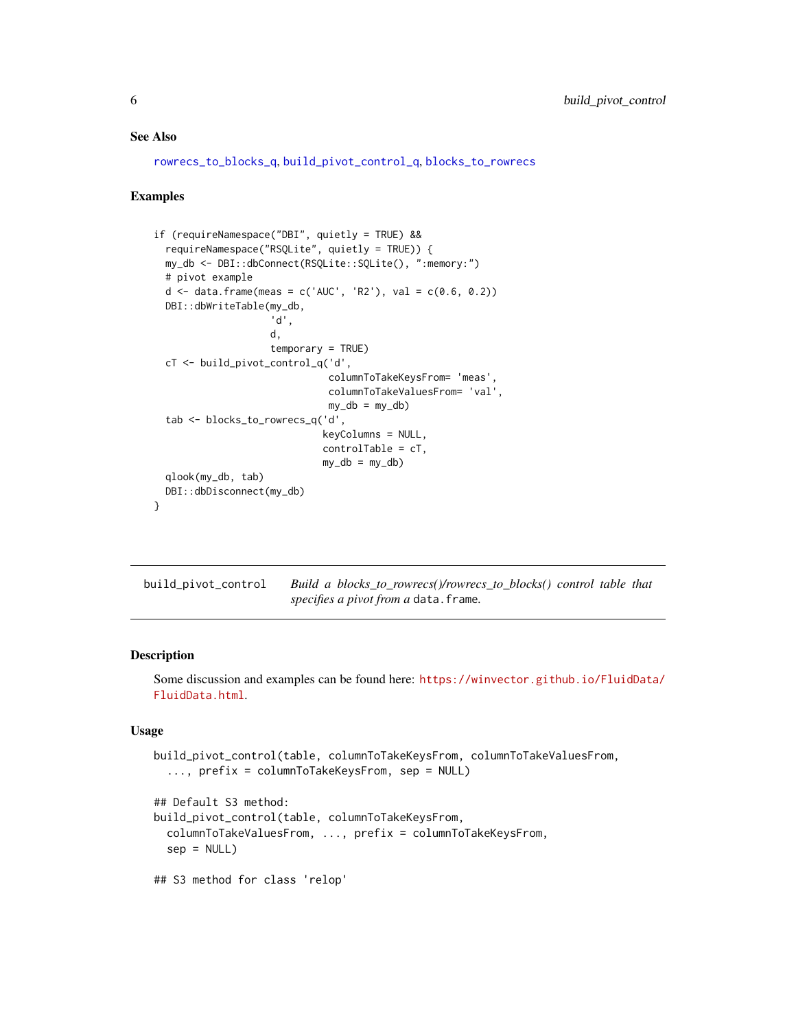#### <span id="page-5-0"></span>See Also

[rowrecs\\_to\\_blocks\\_q](#page-16-1), [build\\_pivot\\_control\\_q](#page-7-1), [blocks\\_to\\_rowrecs](#page-1-1)

#### Examples

```
if (requireNamespace("DBI", quietly = TRUE) &&
 requireNamespace("RSQLite", quietly = TRUE)) {
 my_db <- DBI::dbConnect(RSQLite::SQLite(), ":memory:")
 # pivot example
 d <- data.frame(meas = c('AUC', 'R2'), val = c(0.6, 0.2))
 DBI::dbWriteTable(my_db,
                    'd',
                    d,
                    temporary = TRUE)
 cT <- build_pivot_control_q('d',
                              columnToTakeKeysFrom= 'meas',
                              columnToTakeValuesFrom= 'val',
                              my_db = my_db)tab <- blocks_to_rowrecs_q('d',
                             keyColumns = NULL,
                             controlTable = cT,
                             my_db = my_db)qlook(my_db, tab)
 DBI::dbDisconnect(my_db)
}
```
<span id="page-5-1"></span>build\_pivot\_control *Build a blocks\_to\_rowrecs()/rowrecs\_to\_blocks() control table that specifies a pivot from a* data.frame*.*

#### Description

Some discussion and examples can be found here: [https://winvector.github.io/FluidData/](https://winvector.github.io/FluidData/FluidData.html) [FluidData.html](https://winvector.github.io/FluidData/FluidData.html).

```
build_pivot_control(table, columnToTakeKeysFrom, columnToTakeValuesFrom,
  ..., prefix = columnToTakeKeysFrom, sep = NULL)
## Default S3 method:
build_pivot_control(table, columnToTakeKeysFrom,
 columnToTakeValuesFrom, ..., prefix = columnToTakeKeysFrom,
  sep = NULL)## S3 method for class 'relop'
```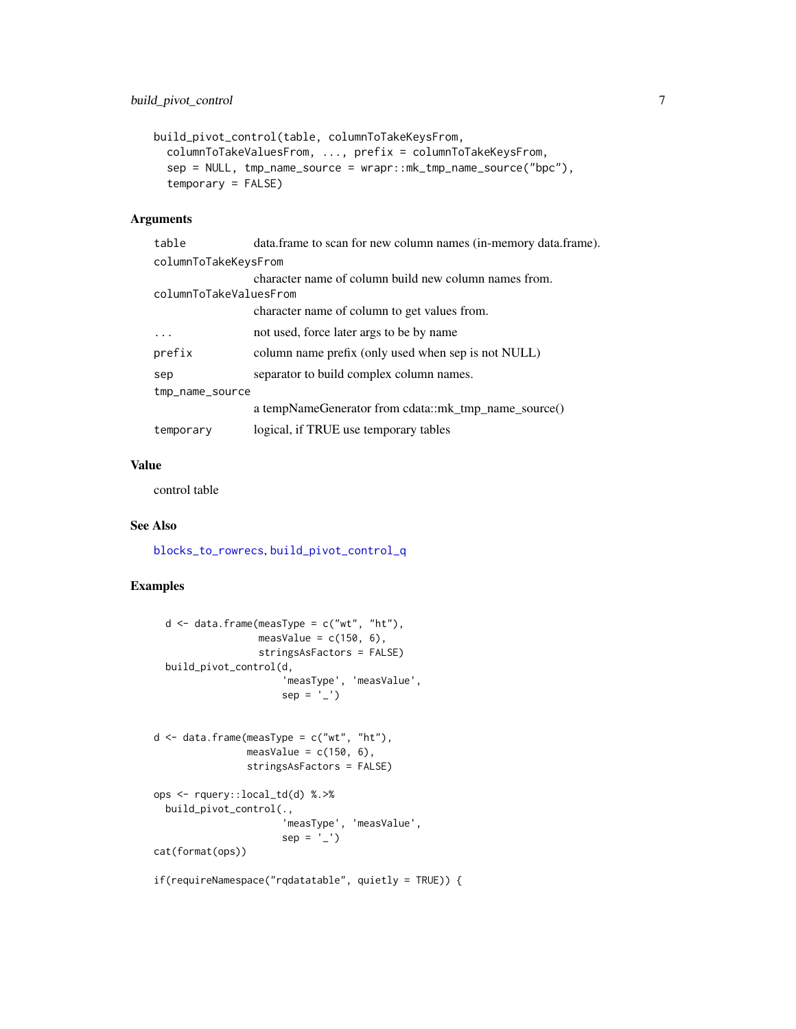```
build_pivot_control(table, columnToTakeKeysFrom,
  columnToTakeValuesFrom, ..., prefix = columnToTakeKeysFrom,
  sep = NULL, tmp_name_source = wrapr::mk_tmp_name_source("bpc"),
  temporary = FALSE)
```

| table                  | data.frame to scan for new column names (in-memory data.frame). |
|------------------------|-----------------------------------------------------------------|
| columnToTakeKeysFrom   |                                                                 |
|                        | character name of column build new column names from.           |
| columnToTakeValuesFrom |                                                                 |
|                        | character name of column to get values from.                    |
| .                      | not used, force later args to be by name                        |
| prefix                 | column name prefix (only used when sep is not NULL)             |
| sep                    | separator to build complex column names.                        |
| tmp_name_source        |                                                                 |
|                        | a tempNameGenerator from cdata::mk_tmp_name_source()            |
| temporary              | logical, if TRUE use temporary tables                           |

## Value

control table

## See Also

[blocks\\_to\\_rowrecs](#page-1-1), [build\\_pivot\\_control\\_q](#page-7-1)

## Examples

```
d \leq - data.frame(measType = c("wt", "ht"),
                  measValue = c(150, 6),
                  stringsAsFactors = FALSE)
  build_pivot_control(d,
                      'measType', 'measValue',
                      sep = '-'')d \leq - data.frame(measType = c("wt", "ht"),
                measValue = c(150, 6),
                stringsAsFactors = FALSE)
ops <- rquery::local_td(d) %.>%
  build_pivot_control(.,
                       'measType', 'measValue',
                      sep = '-'')cat(format(ops))
```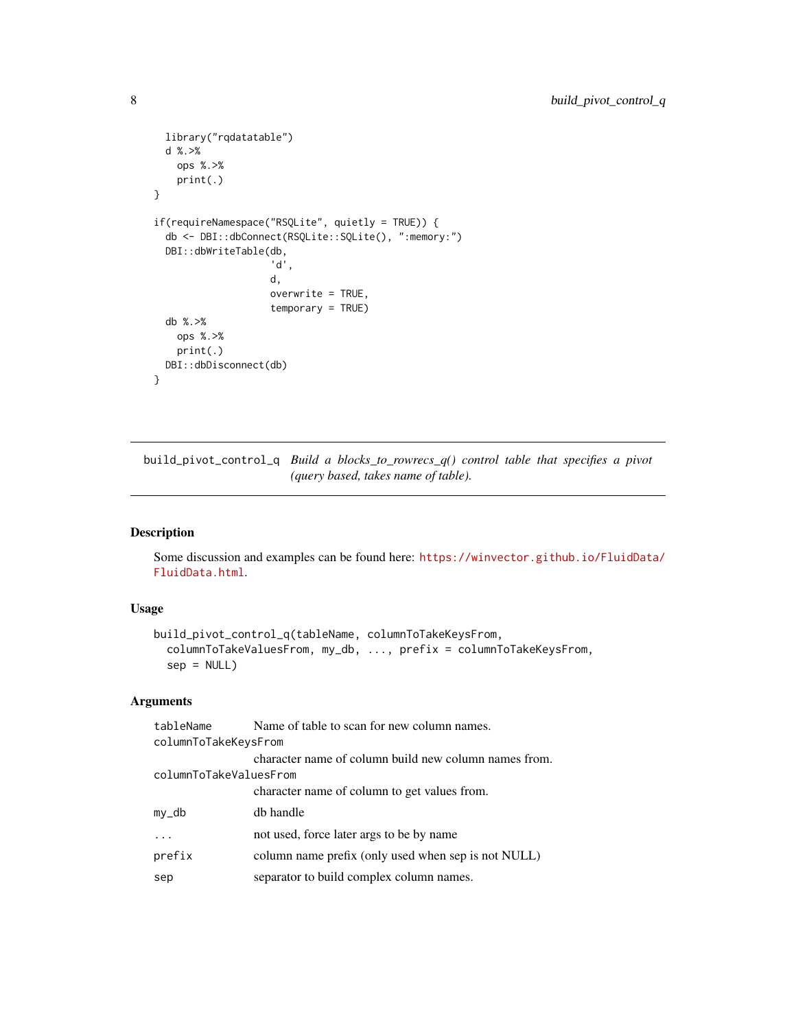```
library("rqdatatable")
 d %.>%
   ops %.>%
   print(.)
}
if(requireNamespace("RSQLite", quietly = TRUE)) {
 db <- DBI::dbConnect(RSQLite::SQLite(), ":memory:")
 DBI::dbWriteTable(db,
                    'd',
                    d,
                    overwrite = TRUE,
                    temporary = TRUE)
 db %.>%
   ops %.>%
   print(.)
 DBI::dbDisconnect(db)
}
```
<span id="page-7-1"></span>build\_pivot\_control\_q *Build a blocks\_to\_rowrecs\_q() control table that specifies a pivot (query based, takes name of table).*

## Description

Some discussion and examples can be found here: [https://winvector.github.io/FluidData/](https://winvector.github.io/FluidData/FluidData.html) [FluidData.html](https://winvector.github.io/FluidData/FluidData.html).

## Usage

```
build_pivot_control_q(tableName, columnToTakeKeysFrom,
  columnToTakeValuesFrom, my_db, ..., prefix = columnToTakeKeysFrom,
  sep = NULL)
```
## Arguments

| tableName              | Name of table to scan for new column names.           |  |
|------------------------|-------------------------------------------------------|--|
| columnToTakeKeysFrom   |                                                       |  |
|                        | character name of column build new column names from. |  |
| columnToTakeValuesFrom |                                                       |  |
|                        | character name of column to get values from.          |  |
| my_db                  | db handle                                             |  |
|                        | not used, force later args to be by name              |  |
| prefix                 | column name prefix (only used when sep is not NULL)   |  |
| sep                    | separator to build complex column names.              |  |
|                        |                                                       |  |

<span id="page-7-0"></span>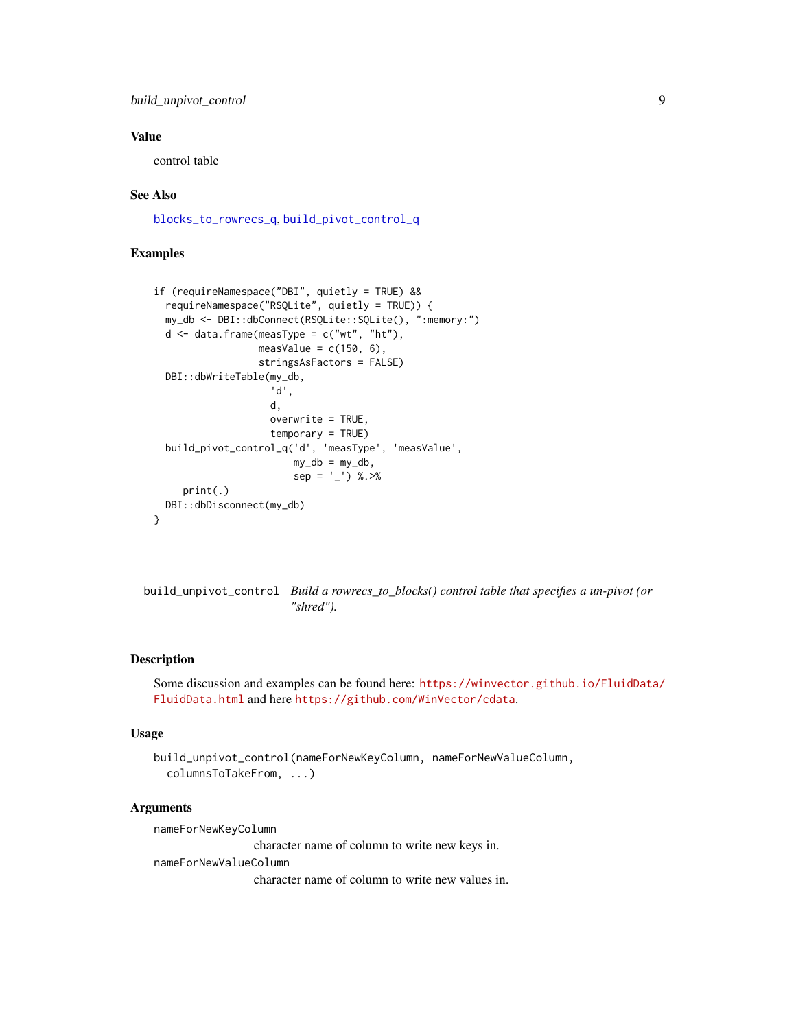## <span id="page-8-0"></span>build\_unpivot\_control 9

## Value

control table

## See Also

[blocks\\_to\\_rowrecs\\_q](#page-3-1), [build\\_pivot\\_control\\_q](#page-7-1)

## Examples

```
if (requireNamespace("DBI", quietly = TRUE) &&
 requireNamespace("RSQLite", quietly = TRUE)) {
 my_db <- DBI::dbConnect(RSQLite::SQLite(), ":memory:")
 d \leq data.frame(measType = c("wt", "ht"),
                  measValue = c(150, 6),
                  stringsAsFactors = FALSE)
 DBI::dbWriteTable(my_db,
                    'd',
                    d,
                    overwrite = TRUE,
                    temporary = TRUE)
 build_pivot_control_q('d', 'measType', 'measValue',
                        my_db = my_db,
                        sep = '-'') %. > %print(.)
 DBI::dbDisconnect(my_db)
}
```
<span id="page-8-1"></span>build\_unpivot\_control *Build a rowrecs\_to\_blocks() control table that specifies a un-pivot (or "shred").*

## Description

Some discussion and examples can be found here: [https://winvector.github.io/FluidData/](https://winvector.github.io/FluidData/FluidData.html) [FluidData.html](https://winvector.github.io/FluidData/FluidData.html) and here <https://github.com/WinVector/cdata>.

#### Usage

```
build_unpivot_control(nameForNewKeyColumn, nameForNewValueColumn,
  columnsToTakeFrom, ...)
```
## Arguments

nameForNewKeyColumn

character name of column to write new keys in.

nameForNewValueColumn

character name of column to write new values in.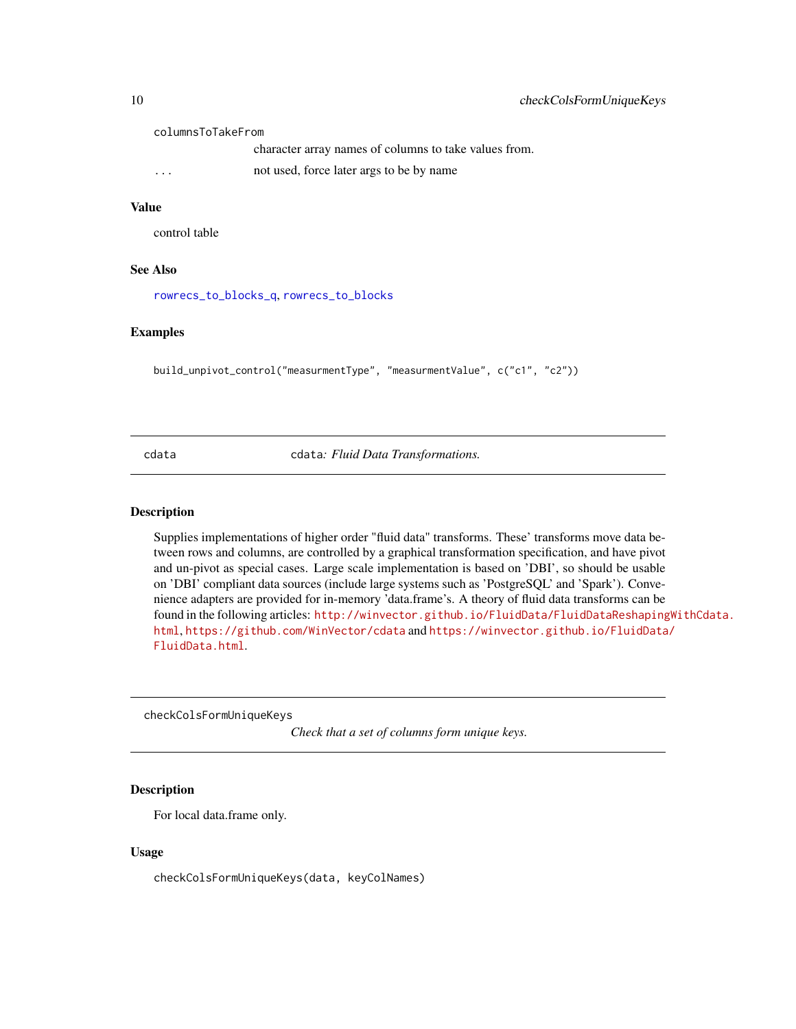columnsToTakeFrom

character array names of columns to take values from.

... not used, force later args to be by name

## Value

control table

## See Also

[rowrecs\\_to\\_blocks\\_q](#page-16-1), [rowrecs\\_to\\_blocks](#page-14-1)

## Examples

```
build_unpivot_control("measurmentType", "measurmentValue", c("c1", "c2"))
```
cdata cdata*: Fluid Data Transformations.*

#### Description

Supplies implementations of higher order "fluid data" transforms. These' transforms move data between rows and columns, are controlled by a graphical transformation specification, and have pivot and un-pivot as special cases. Large scale implementation is based on 'DBI', so should be usable on 'DBI' compliant data sources (include large systems such as 'PostgreSQL' and 'Spark'). Convenience adapters are provided for in-memory 'data.frame's. A theory of fluid data transforms can be found in the following articles: [http://winvector.github.io/FluidData/FluidDataReshaping](http://winvector.github.io/FluidData/FluidDataReshapingWithCdata.html)WithCdata. [html](http://winvector.github.io/FluidData/FluidDataReshapingWithCdata.html), <https://github.com/WinVector/cdata> and [https://winvector.github.io/FluidData](https://winvector.github.io/FluidData/FluidData.html)/ [FluidData.html](https://winvector.github.io/FluidData/FluidData.html).

checkColsFormUniqueKeys

*Check that a set of columns form unique keys.*

## Description

For local data.frame only.

#### Usage

checkColsFormUniqueKeys(data, keyColNames)

<span id="page-9-0"></span>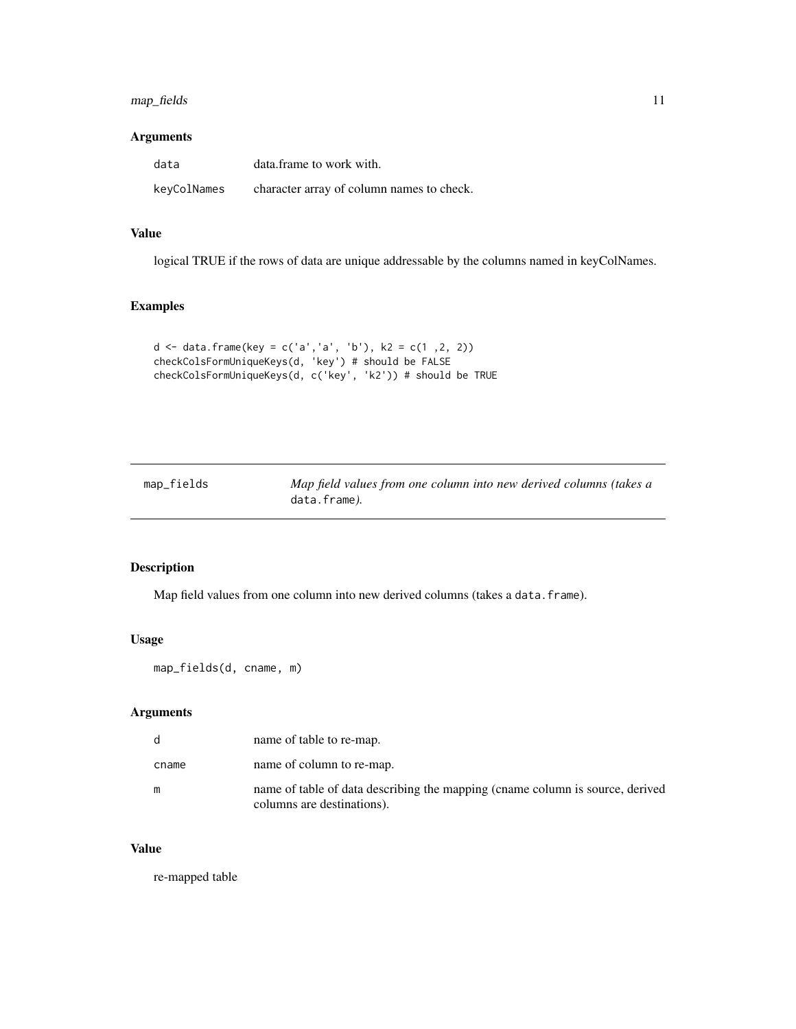## <span id="page-10-0"></span>map\_fields 11

## Arguments

| data        | data.frame to work with.                  |
|-------------|-------------------------------------------|
| keyColNames | character array of column names to check. |

## Value

logical TRUE if the rows of data are unique addressable by the columns named in keyColNames.

## Examples

```
d <- data.frame(key = c('a','a', 'b'), k2 = c(1 ,2, 2))
checkColsFormUniqueKeys(d, 'key') # should be FALSE
checkColsFormUniqueKeys(d, c('key', 'k2')) # should be TRUE
```

| map_fields | Map field values from one column into new derived columns (takes a |
|------------|--------------------------------------------------------------------|
|            | data.frame).                                                       |

## Description

Map field values from one column into new derived columns (takes a data.frame).

## Usage

map\_fields(d, cname, m)

### Arguments

| d     | name of table to re-map.                                                                                    |
|-------|-------------------------------------------------------------------------------------------------------------|
| cname | name of column to re-map.                                                                                   |
| m     | name of table of data describing the mapping (cname column is source, derived<br>columns are destinations). |

## Value

re-mapped table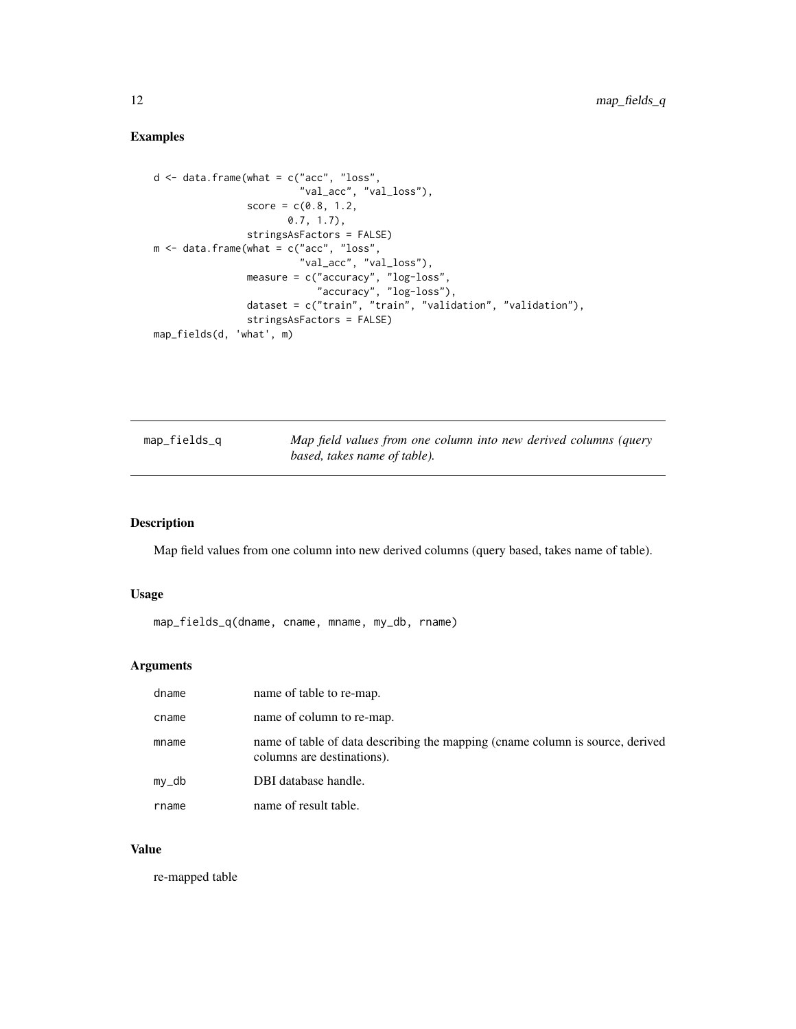## <span id="page-11-0"></span>Examples

```
d <- data.frame(what = c("acc", "loss",
                         "val_acc", "val_loss"),
                score = c(0.8, 1.2,0.7, 1.7),
                stringsAsFactors = FALSE)
m <- data.frame(what = c("acc", "loss",
                         "val_acc", "val_loss"),
                measure = c("accuracy", "log-loss",
                            "accuracy", "log-loss"),
                dataset = c("train", "train", "validation", "validation"),
                stringsAsFactors = FALSE)
map_fields(d, 'what', m)
```

| map_fields_q | Map field values from one column into new derived columns (query |
|--------------|------------------------------------------------------------------|
|              | based, takes name of table).                                     |

## Description

Map field values from one column into new derived columns (query based, takes name of table).

## Usage

```
map_fields_q(dname, cname, mname, my_db, rname)
```
## Arguments

| dname  | name of table to re-map.                                                                                    |
|--------|-------------------------------------------------------------------------------------------------------------|
| cname  | name of column to re-map.                                                                                   |
| mname  | name of table of data describing the mapping (cname column is source, derived<br>columns are destinations). |
| $my_d$ | DBI database handle.                                                                                        |
| rname  | name of result table.                                                                                       |

## Value

re-mapped table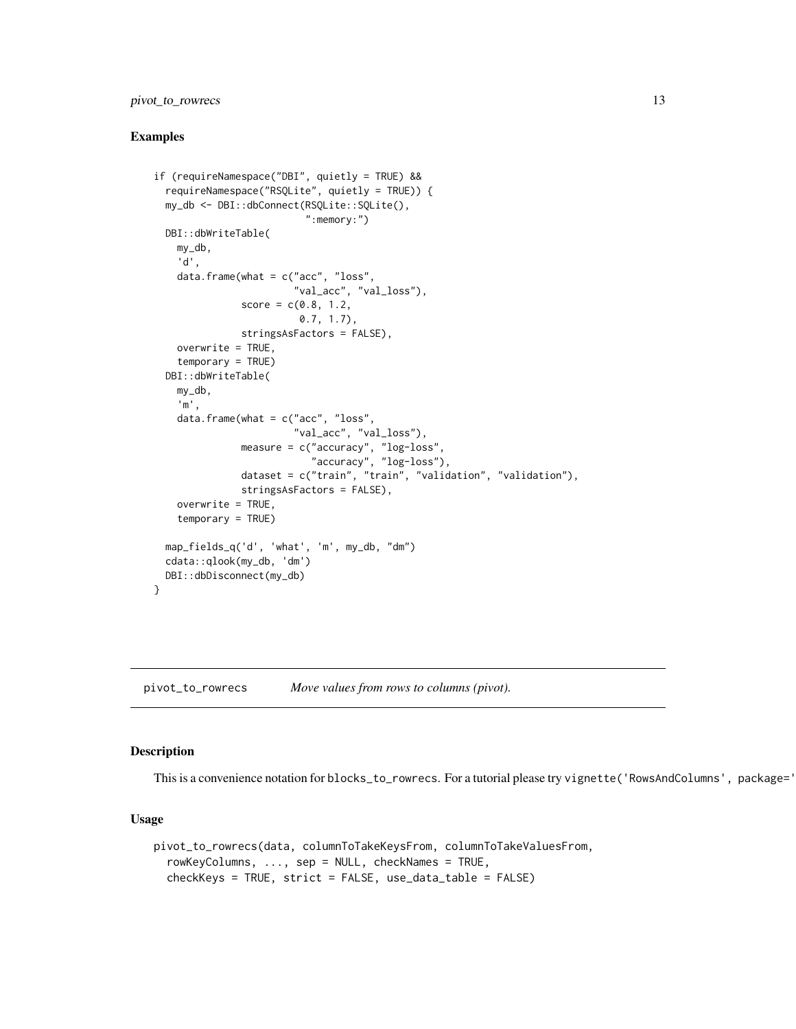## <span id="page-12-0"></span>pivot\_to\_rowrecs 13

#### Examples

```
if (requireNamespace("DBI", quietly = TRUE) &&
 requireNamespace("RSQLite", quietly = TRUE)) {
 my_db <- DBI::dbConnect(RSQLite::SQLite(),
                          ":memory:")
 DBI::dbWriteTable(
   my_db,
    'd',
   data.frame(what = c("acc", "loss",
                        "val_acc", "val_loss"),
               score = c(0.8, 1.2,0.7, 1.7),
               stringsAsFactors = FALSE),
   overwrite = TRUE,
    temporary = TRUE)
 DBI::dbWriteTable(
   my_db,
    'm',
   data.frame(what = c("acc", "loss",
                        "val_acc", "val_loss"),
               measure = c("accuracy", "log-loss",
                           "accuracy", "log-loss"),
               dataset = c("train", "train", "validation", "validation"),
               stringsAsFactors = FALSE),
    overwrite = TRUE,
    temporary = TRUE)
 map_fields_q('d', 'what', 'm', my_db, "dm")
 cdata::qlook(my_db, 'dm')
 DBI::dbDisconnect(my_db)
}
```
<span id="page-12-1"></span>pivot\_to\_rowrecs *Move values from rows to columns (pivot).*

#### Description

This is a convenience notation for blocks\_to\_rowrecs. For a tutorial please try vignette('RowsAndColumns', package='

```
pivot_to_rowrecs(data, columnToTakeKeysFrom, columnToTakeValuesFrom,
  rowKeyColumns, ..., sep = NULL, checkNames = TRUE,
  checkKeys = TRUE, strict = FALSE, use_data_table = FALSE)
```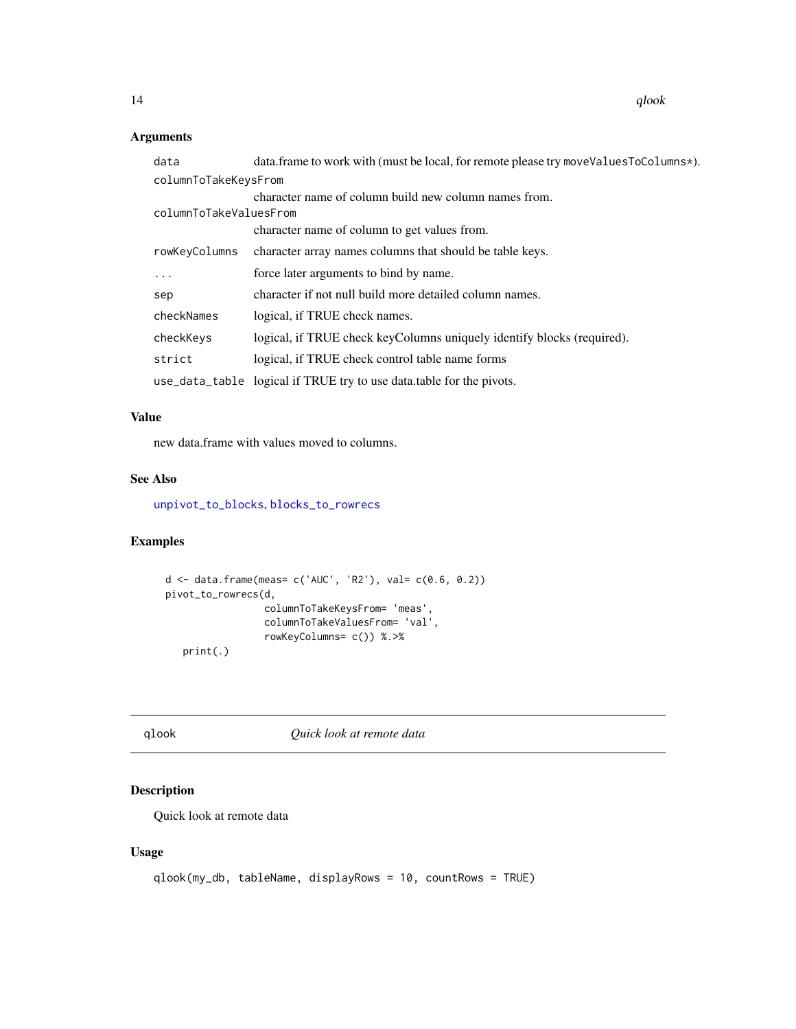<span id="page-13-0"></span>14 qlook

## Arguments

| data                   | data.frame to work with (must be local, for remote please try moveValuesToColumns*). |
|------------------------|--------------------------------------------------------------------------------------|
| columnToTakeKeysFrom   |                                                                                      |
|                        | character name of column build new column names from.                                |
| columnToTakeValuesFrom |                                                                                      |
|                        | character name of column to get values from.                                         |
| rowKeyColumns          | character array names columns that should be table keys.                             |
| .                      | force later arguments to bind by name.                                               |
| sep                    | character if not null build more detailed column names.                              |
| checkNames             | logical, if TRUE check names.                                                        |
| checkKeys              | logical, if TRUE check keyColumns uniquely identify blocks (required).               |
| strict                 | logical, if TRUE check control table name forms                                      |
|                        | use_data_table logical if TRUE try to use data.table for the pivots.                 |

## Value

new data.frame with values moved to columns.

## See Also

[unpivot\\_to\\_blocks](#page-18-1), [blocks\\_to\\_rowrecs](#page-1-1)

## Examples

```
d <- data.frame(meas= c('AUC', 'R2'), val= c(0.6, 0.2))
pivot_to_rowrecs(d,
                 columnToTakeKeysFrom= 'meas',
                columnToTakeValuesFrom= 'val',
                rowKeyColumns= c()) %.>%
   print(.)
```
qlook *Quick look at remote data*

## Description

Quick look at remote data

```
qlook(my_db, tableName, displayRows = 10, countRows = TRUE)
```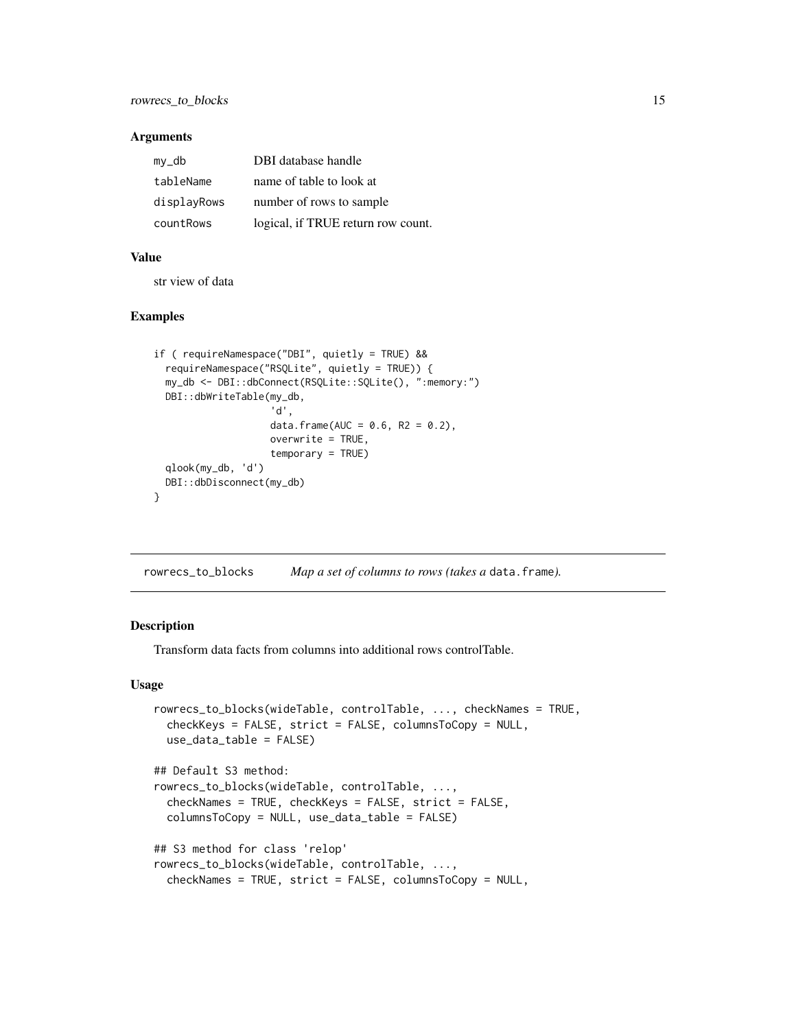<span id="page-14-0"></span>

| my_db       | DBI database handle                |
|-------------|------------------------------------|
| tableName   | name of table to look at           |
| displayRows | number of rows to sample           |
| countRows   | logical, if TRUE return row count. |

## Value

str view of data

## Examples

```
if ( requireNamespace("DBI", quietly = TRUE) &&
 requireNamespace("RSQLite", quietly = TRUE)) {
 my_db <- DBI::dbConnect(RSQLite::SQLite(), ":memory:")
 DBI::dbWriteTable(my_db,
                    'd',
                    data.frame(AUC = 0.6, R2 = 0.2),
                    overwrite = TRUE,
                    temporary = TRUE)
 qlook(my_db, 'd')
 DBI::dbDisconnect(my_db)
}
```
<span id="page-14-1"></span>rowrecs\_to\_blocks *Map a set of columns to rows (takes a* data.frame*).*

## Description

Transform data facts from columns into additional rows controlTable.

```
rowrecs_to_blocks(wideTable, controlTable, ..., checkNames = TRUE,
 checkKeys = FALSE, strict = FALSE, columnsToCopy = NULL,
 use_data_table = FALSE)
## Default S3 method:
rowrecs_to_blocks(wideTable, controlTable, ...,
  checkNames = TRUE, checkKeys = FALSE, strict = FALSE,
  columnsToCopy = NULL, use_data_table = FALSE)
## S3 method for class 'relop'
rowrecs_to_blocks(wideTable, controlTable, ...,
 checkNames = TRUE, strict = FALSE, columnsToCopy = NULL,
```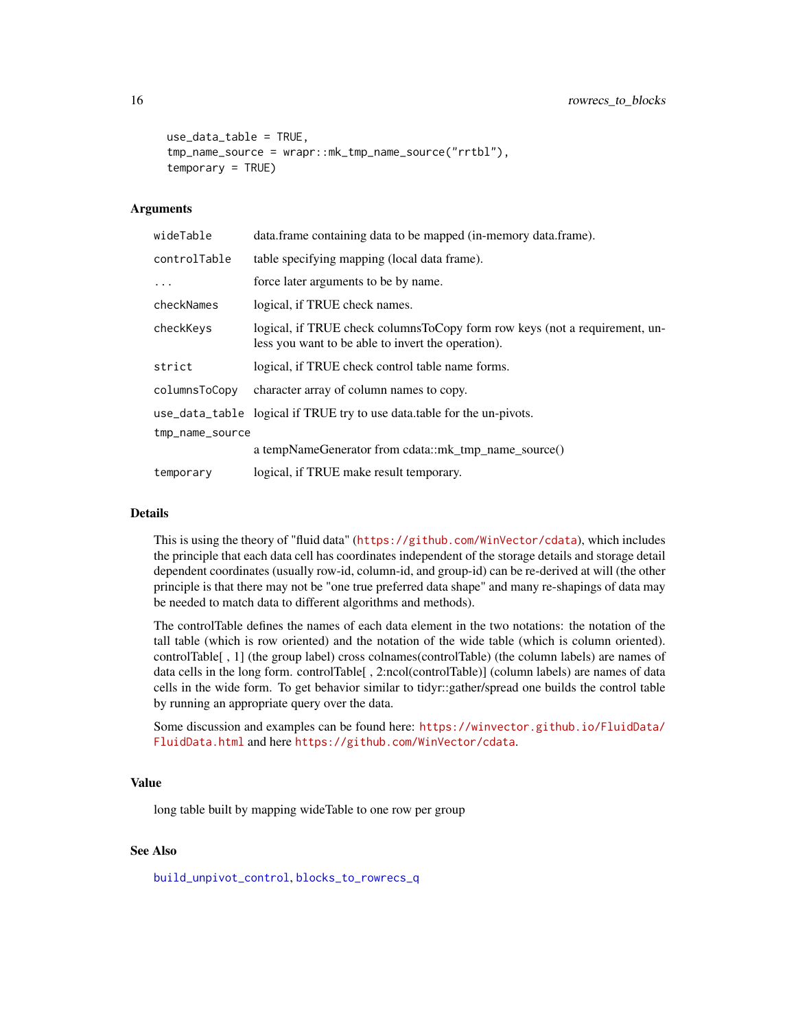```
use_data_table = TRUE,
tmp_name_source = wrapr::mk_tmp_name_source("rrtbl"),
temporary = TRUE)
```

| wideTable       | data.frame containing data to be mapped (in-memory data.frame).                                                                  |  |
|-----------------|----------------------------------------------------------------------------------------------------------------------------------|--|
| controlTable    | table specifying mapping (local data frame).                                                                                     |  |
| $\cdots$        | force later arguments to be by name.                                                                                             |  |
| checkNames      | logical, if TRUE check names.                                                                                                    |  |
| checkKeys       | logical, if TRUE check columnsToCopy form row keys (not a requirement, un-<br>less you want to be able to invert the operation). |  |
| strict          | logical, if TRUE check control table name forms.                                                                                 |  |
| columnsToCopy   | character array of column names to copy.                                                                                         |  |
|                 | use_data_table logical if TRUE try to use data.table for the un-pivots.                                                          |  |
| tmp_name_source |                                                                                                                                  |  |
|                 | a tempNameGenerator from cdata::mk_tmp_name_source()                                                                             |  |
| temporary       | logical, if TRUE make result temporary.                                                                                          |  |

#### Details

This is using the theory of "fluid data" (<https://github.com/WinVector/cdata>), which includes the principle that each data cell has coordinates independent of the storage details and storage detail dependent coordinates (usually row-id, column-id, and group-id) can be re-derived at will (the other principle is that there may not be "one true preferred data shape" and many re-shapings of data may be needed to match data to different algorithms and methods).

The controlTable defines the names of each data element in the two notations: the notation of the tall table (which is row oriented) and the notation of the wide table (which is column oriented). controlTable[ , 1] (the group label) cross colnames(controlTable) (the column labels) are names of data cells in the long form. controlTable[ , 2:ncol(controlTable)] (column labels) are names of data cells in the wide form. To get behavior similar to tidyr::gather/spread one builds the control table by running an appropriate query over the data.

Some discussion and examples can be found here: [https://winvector.github.io/FluidData/](https://winvector.github.io/FluidData/FluidData.html) [FluidData.html](https://winvector.github.io/FluidData/FluidData.html) and here <https://github.com/WinVector/cdata>.

## Value

long table built by mapping wideTable to one row per group

## See Also

[build\\_unpivot\\_control](#page-8-1), [blocks\\_to\\_rowrecs\\_q](#page-3-1)

<span id="page-15-0"></span>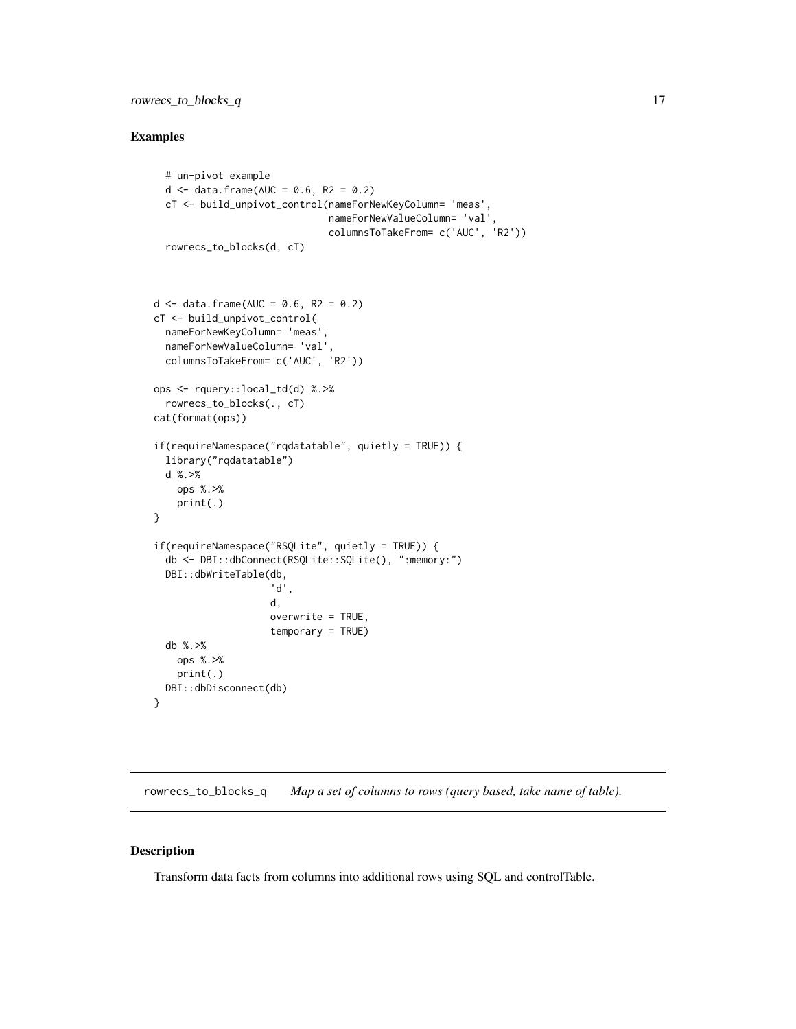## <span id="page-16-0"></span>Examples

```
# un-pivot example
  d <- data.frame(AUC = 0.6, R2 = 0.2)
  cT <- build_unpivot_control(nameForNewKeyColumn= 'meas',
                              nameForNewValueColumn= 'val',
                              columnsToTakeFrom= c('AUC', 'R2'))
  rowrecs_to_blocks(d, cT)
d <- data.frame(AUC = 0.6, R2 = 0.2)
cT <- build_unpivot_control(
  nameForNewKeyColumn= 'meas',
  nameForNewValueColumn= 'val',
  columnsToTakeFrom= c('AUC', 'R2'))
ops <- rquery::local_td(d) %.>%
  rowrecs_to_blocks(., cT)
cat(format(ops))
if(requireNamespace("rqdatatable", quietly = TRUE)) {
  library("rqdatatable")
  d %.>%
    ops %.>%
    print(.)
}
if(requireNamespace("RSQLite", quietly = TRUE)) {
  db <- DBI::dbConnect(RSQLite::SQLite(), ":memory:")
  DBI::dbWriteTable(db,
                    'd',
                    d,
                    overwrite = TRUE,
                    temporary = TRUE)
  db %.>%
   ops %.>%
   print(.)
  DBI::dbDisconnect(db)
}
```
<span id="page-16-1"></span>rowrecs\_to\_blocks\_q *Map a set of columns to rows (query based, take name of table).*

## Description

Transform data facts from columns into additional rows using SQL and controlTable.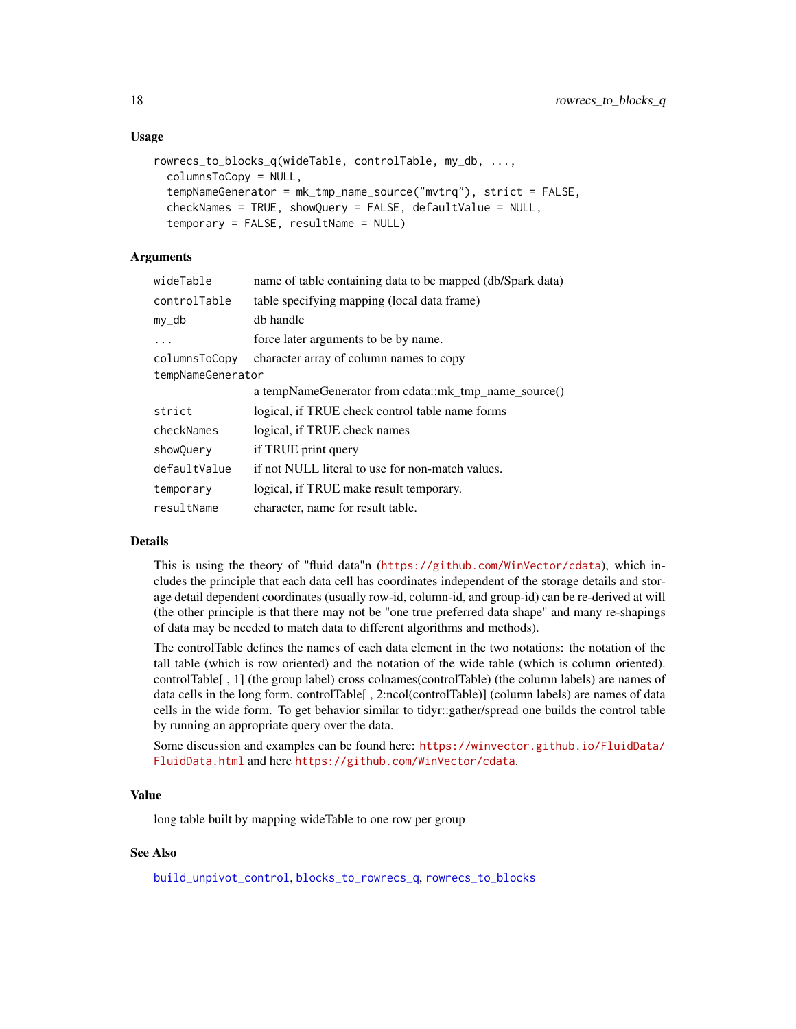## <span id="page-17-0"></span>Usage

```
rowrecs_to_blocks_q(wideTable, controlTable, my_db, ...,
 columnsToCopy = NULL,
 tempNameGenerator = mk_tmp_name_source("mvtrq"), strict = FALSE,
 checkNames = TRUE, showQuery = FALSE, defaultValue = NULL,
 temporary = FALSE, resultName = NULL)
```
## Arguments

| wideTable         | name of table containing data to be mapped (db/Spark data) |
|-------------------|------------------------------------------------------------|
| controlTable      | table specifying mapping (local data frame)                |
| my_db             | db handle                                                  |
|                   | force later arguments to be by name.                       |
| columnsToCopy     | character array of column names to copy                    |
| tempNameGenerator |                                                            |
|                   | a tempNameGenerator from cdata::mk_tmp_name_source()       |
| strict            | logical, if TRUE check control table name forms            |
| checkNames        | logical, if TRUE check names                               |
| showQuery         | if TRUE print query                                        |
| defaultValue      | if not NULL literal to use for non-match values.           |
| temporary         | logical, if TRUE make result temporary.                    |
| resultName        | character, name for result table.                          |

## Details

This is using the theory of "fluid data"n (<https://github.com/WinVector/cdata>), which includes the principle that each data cell has coordinates independent of the storage details and storage detail dependent coordinates (usually row-id, column-id, and group-id) can be re-derived at will (the other principle is that there may not be "one true preferred data shape" and many re-shapings of data may be needed to match data to different algorithms and methods).

The controlTable defines the names of each data element in the two notations: the notation of the tall table (which is row oriented) and the notation of the wide table (which is column oriented). controlTable[ , 1] (the group label) cross colnames(controlTable) (the column labels) are names of data cells in the long form. controlTable[ , 2:ncol(controlTable)] (column labels) are names of data cells in the wide form. To get behavior similar to tidyr::gather/spread one builds the control table by running an appropriate query over the data.

Some discussion and examples can be found here: [https://winvector.github.io/FluidData/](https://winvector.github.io/FluidData/FluidData.html) [FluidData.html](https://winvector.github.io/FluidData/FluidData.html) and here <https://github.com/WinVector/cdata>.

## Value

long table built by mapping wideTable to one row per group

#### See Also

[build\\_unpivot\\_control](#page-8-1), [blocks\\_to\\_rowrecs\\_q](#page-3-1), [rowrecs\\_to\\_blocks](#page-14-1)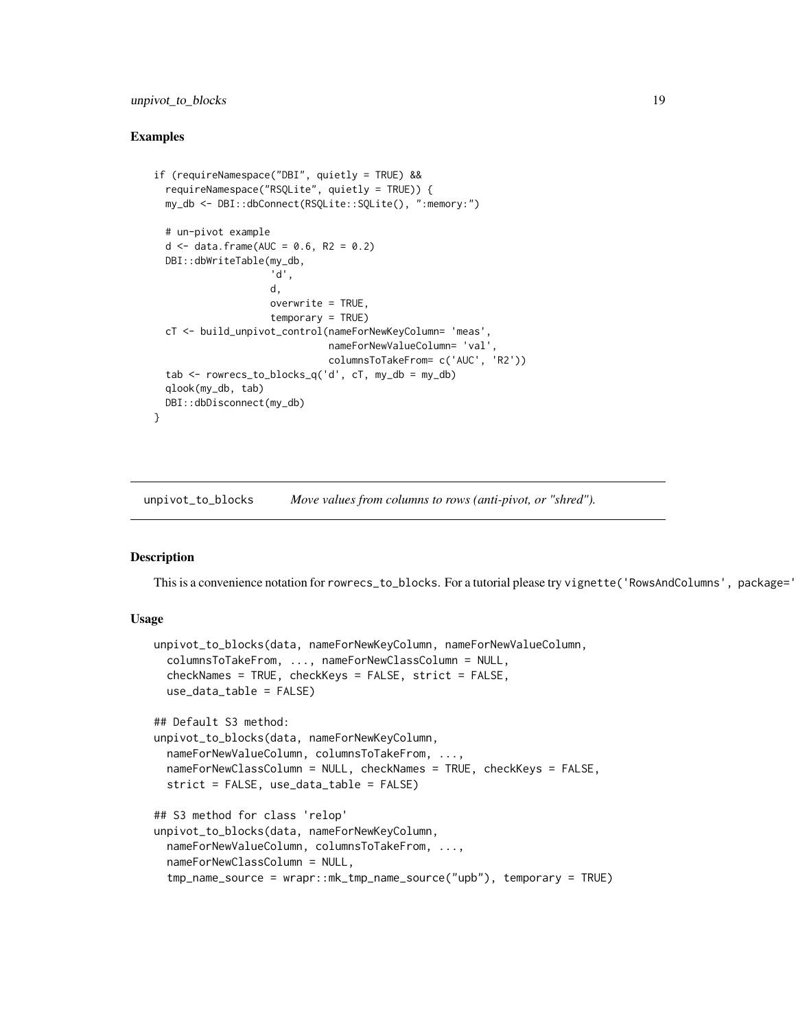## <span id="page-18-0"></span>unpivot\_to\_blocks 19

## Examples

```
if (requireNamespace("DBI", quietly = TRUE) &&
 requireNamespace("RSQLite", quietly = TRUE)) {
 my_db <- DBI::dbConnect(RSQLite::SQLite(), ":memory:")
 # un-pivot example
 d \le data.frame(AUC = 0.6, R2 = 0.2)
 DBI::dbWriteTable(my_db,
                    'd',
                    d,
                    overwrite = TRUE,
                    temporary = TRUE)
 cT <- build_unpivot_control(nameForNewKeyColumn= 'meas',
                              nameForNewValueColumn= 'val',
                              columnsToTakeFrom= c('AUC', 'R2'))
 tab < - rowrecs_to_blocks_q('d', cT, my_db = my_db)
 qlook(my_db, tab)
 DBI::dbDisconnect(my_db)
}
```
<span id="page-18-1"></span>unpivot\_to\_blocks *Move values from columns to rows (anti-pivot, or "shred").*

## Description

This is a convenience notation for rowrecs\_to\_blocks. For a tutorial please try vignette('RowsAndColumns', package='

```
unpivot_to_blocks(data, nameForNewKeyColumn, nameForNewValueColumn,
  columnsToTakeFrom, ..., nameForNewClassColumn = NULL,
  checkNames = TRUE, checkKeys = FALSE, strict = FALSE,
 use_data_table = FALSE)
## Default S3 method:
unpivot_to_blocks(data, nameForNewKeyColumn,
  nameForNewValueColumn, columnsToTakeFrom, ...,
  nameForNewClassColumn = NULL, checkNames = TRUE, checkKeys = FALSE,
  strict = FALSE, use_data_table = FALSE)
## S3 method for class 'relop'
unpivot_to_blocks(data, nameForNewKeyColumn,
 nameForNewValueColumn, columnsToTakeFrom, ...,
 nameForNewClassColumn = NULL,
  tmp_name_source = wrapr::mk_tmp_name_source("upb"), temporary = TRUE)
```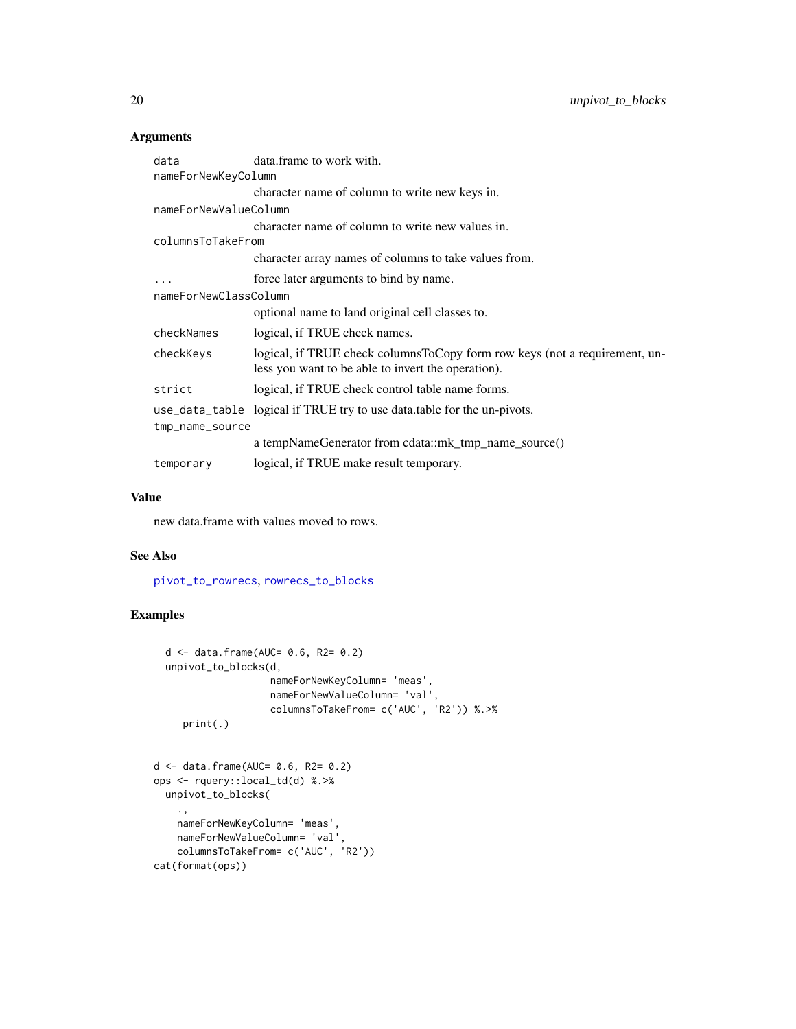| data                  | data.frame to work with.                                                                                                          |  |
|-----------------------|-----------------------------------------------------------------------------------------------------------------------------------|--|
| nameForNewKeyColumn   |                                                                                                                                   |  |
|                       | character name of column to write new keys in.                                                                                    |  |
| nameForNewValueColumn |                                                                                                                                   |  |
|                       | character name of column to write new values in.                                                                                  |  |
| columnsToTakeFrom     |                                                                                                                                   |  |
|                       | character array names of columns to take values from.                                                                             |  |
|                       | force later arguments to bind by name.                                                                                            |  |
| nameForNewClassColumn |                                                                                                                                   |  |
|                       | optional name to land original cell classes to.                                                                                   |  |
| checkNames            | logical, if TRUE check names.                                                                                                     |  |
| checkKeys             | logical, if TRUE check columns ToCopy form row keys (not a requirement, un-<br>less you want to be able to invert the operation). |  |
| strict                | logical, if TRUE check control table name forms.                                                                                  |  |
|                       | use_data_table logical if TRUE try to use data.table for the un-pivots.                                                           |  |
| tmp_name_source       |                                                                                                                                   |  |
|                       | a tempNameGenerator from cdata::mk_tmp_name_source()                                                                              |  |
| temporary             | logical, if TRUE make result temporary.                                                                                           |  |

## Value

new data.frame with values moved to rows.

#### See Also

[pivot\\_to\\_rowrecs](#page-12-1), [rowrecs\\_to\\_blocks](#page-14-1)

## Examples

```
d <- data.frame(AUC= 0.6, R2= 0.2)
  unpivot_to_blocks(d,
                    nameForNewKeyColumn= 'meas',
                    nameForNewValueColumn= 'val',
                    columnsToTakeFrom= c('AUC', 'R2')) %.>%
     print(.)
d <- data.frame(AUC= 0.6, R2= 0.2)
ops <- rquery::local_td(d) %.>%
 unpivot_to_blocks(
    .,
    nameForNewKeyColumn= 'meas',
    nameForNewValueColumn= 'val',
    columnsToTakeFrom= c('AUC', 'R2'))
cat(format(ops))
```
<span id="page-19-0"></span>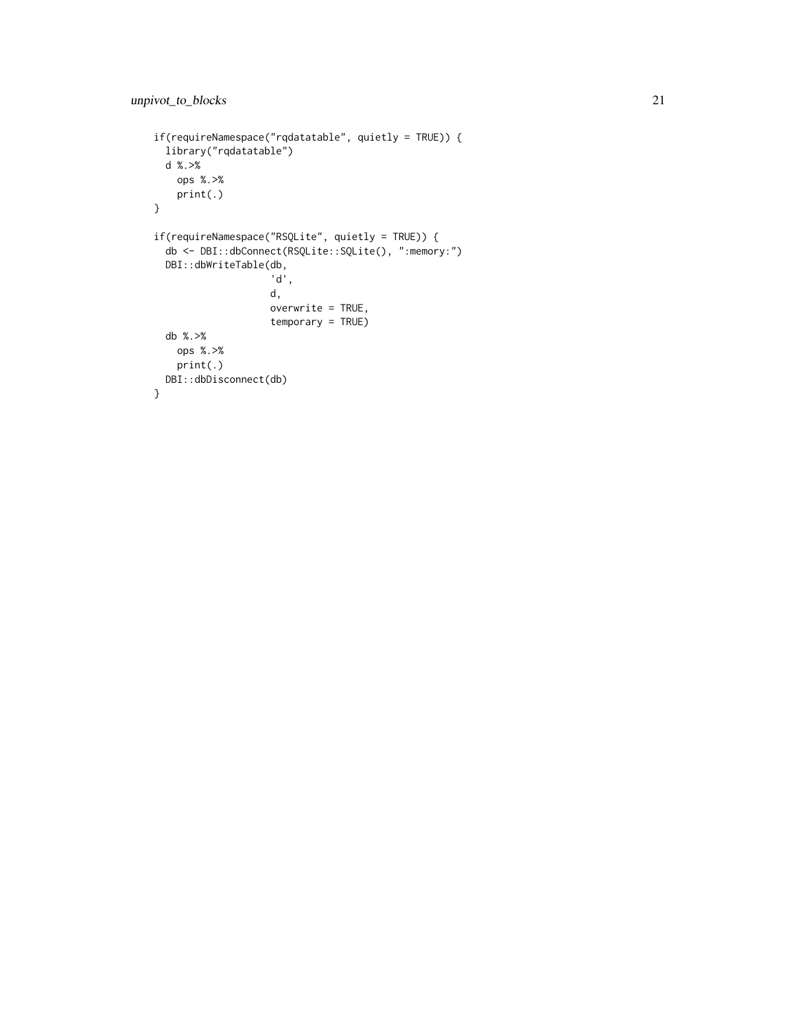```
if(requireNamespace("rqdatatable", quietly = TRUE)) {
  library("rqdatatable")
 d %.>%
   ops %.>%
   print(.)
}
if(requireNamespace("RSQLite", quietly = TRUE)) {
  db <- DBI::dbConnect(RSQLite::SQLite(), ":memory:")
  DBI::dbWriteTable(db,
                    'd',
                    d,
                    overwrite = TRUE,
                    temporary = TRUE)
  db %.>%
   ops %.>%
   print(.)
 DBI::dbDisconnect(db)
}
```